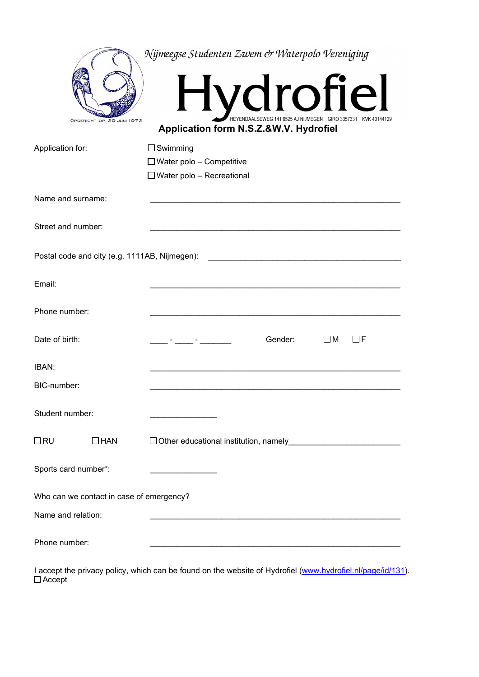| OPGERICHT OP 29 JUNI 1972                     | Nijmeegse Studenten Zwem & Waterpolo Vereniging<br>Hydrofiel<br>HEYENDAALSEWEG 141 6525 AJ NIJMEGEN GIRO 3357331 KVK 40144129<br>Application form N.S.Z.&W.V. Hydrofiel |  |  |  |  |
|-----------------------------------------------|-------------------------------------------------------------------------------------------------------------------------------------------------------------------------|--|--|--|--|
| Application for:                              | $\Box$ Swimming<br>$\Box$ Water polo - Competitive<br>$\Box$ Water polo - Recreational                                                                                  |  |  |  |  |
| Name and surname:                             |                                                                                                                                                                         |  |  |  |  |
| Street and number:                            |                                                                                                                                                                         |  |  |  |  |
| Postal code and city (e.g. 1111AB, Nijmegen): |                                                                                                                                                                         |  |  |  |  |
| Email:                                        |                                                                                                                                                                         |  |  |  |  |
| Phone number:                                 |                                                                                                                                                                         |  |  |  |  |
| Date of birth:                                | Gender:<br>$\square$ M<br>□F                                                                                                                                            |  |  |  |  |
| IBAN:                                         |                                                                                                                                                                         |  |  |  |  |
| BIC-number:                                   |                                                                                                                                                                         |  |  |  |  |
| Student number:                               |                                                                                                                                                                         |  |  |  |  |
| $\Box$ RU<br>$\Box$ HAN                       | $\Box$ Other educational institution, namely<br><u> 1980 - Johann Barbara, martxa alemaniar a</u>                                                                       |  |  |  |  |
| Sports card number*:                          |                                                                                                                                                                         |  |  |  |  |
| Who can we contact in case of emergency?      |                                                                                                                                                                         |  |  |  |  |
| Name and relation:                            |                                                                                                                                                                         |  |  |  |  |
| Phone number:                                 |                                                                                                                                                                         |  |  |  |  |

I accept the privacy policy, which can be found on the website of Hydrofiel (<u>www.hydrofiel.nl/page/id/131</u>). Accept